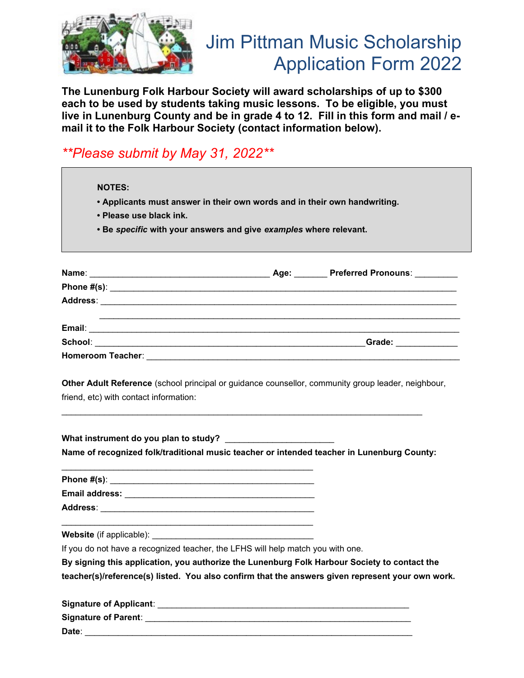

## Jim Pittman Music Scholarship Application Form 2022

**The Lunenburg Folk Harbour Society will award scholarships of up to \$300 each to be used by students taking music lessons. To be eligible, you must live in Lunenburg County and be in grade 4 to 12. Fill in this form and mail / email it to the Folk Harbour Society (contact information below).**

## *\*\*Please submit by May 31, 2022\*\**

 **NOTES:**

- **Applicants must answer in their own words and in their own handwriting.**
- **Please use black ink.**
- **Be** *specific* **with your answers and give** *examples* **where relevant.**

| Name: 2008 2009 2010 2021 2022 2023 2024 2022 2022 2023 2024 2022 2023 2024 2022 2023 2024 2022 2023 2024 2022 | Age: | <b>Preferred Pronouns:</b> |
|----------------------------------------------------------------------------------------------------------------|------|----------------------------|
|                                                                                                                |      |                            |
|                                                                                                                |      |                            |
|                                                                                                                |      |                            |
|                                                                                                                |      | Grade: _____________       |
| <b>Homeroom Teacher:</b><br><u> 1980 - Jan Samuel Barbara, martin d</u>                                        |      |                            |

**Other Adult Reference** (school principal or guidance counsellor, community group leader, neighbour, friend, etc) with contact information:

**What instrument do you plan to study?** \_\_\_\_\_\_\_\_\_\_\_\_\_\_\_\_\_\_\_\_\_\_\_ **Name of recognized folk/traditional music teacher or intended teacher in Lunenburg County:**

**Phone #(s)**: \_\_\_\_\_\_\_\_\_\_\_\_\_\_\_\_\_\_\_\_\_\_\_\_\_\_\_\_\_\_\_\_\_\_\_\_\_\_\_\_\_\_\_ **Email address:** \_\_\_\_\_\_\_\_\_\_\_\_\_\_\_\_\_\_\_\_\_\_\_\_\_\_\_\_\_\_\_\_\_\_\_\_\_\_\_\_ **Address**: \_\_\_\_\_\_\_\_\_\_\_\_\_\_\_\_\_\_\_\_\_\_\_\_\_\_\_\_\_\_\_\_\_\_\_\_\_\_\_\_\_\_\_\_\_

**Website** (if applicable):

If you do not have a recognized teacher, the LFHS will help match you with one.

 $\mathcal{L}_\text{max}$ 

**By signing this application, you authorize the Lunenburg Folk Harbour Society to contact the teacher(s)/reference(s) listed. You also confirm that the answers given represent your own work.**

| <b>Signature of Applicant:</b> |  |
|--------------------------------|--|
| <b>Signature of Parent:</b>    |  |
| Date∶                          |  |